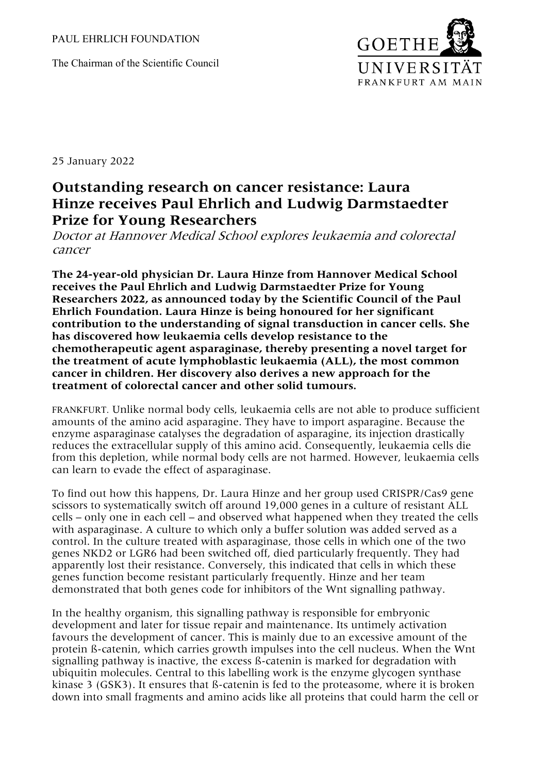The Chairman of the Scientific Council



25 January 2022

## **Outstanding research on cancer resistance: Laura Hinze receives Paul Ehrlich and Ludwig Darmstaedter Prize for Young Researchers**

Doctor at Hannover Medical School explores leukaemia and colorectal cancer

**The 24-year-old physician Dr. Laura Hinze from Hannover Medical School receives the Paul Ehrlich and Ludwig Darmstaedter Prize for Young Researchers 2022, as announced today by the Scientific Council of the Paul Ehrlich Foundation. Laura Hinze is being honoured for her significant contribution to the understanding of signal transduction in cancer cells. She has discovered how leukaemia cells develop resistance to the chemotherapeutic agent asparaginase, thereby presenting a novel target for the treatment of acute lymphoblastic leukaemia (ALL), the most common cancer in children. Her discovery also derives a new approach for the treatment of colorectal cancer and other solid tumours.**

FRANKFURT. Unlike normal body cells, leukaemia cells are not able to produce sufficient amounts of the amino acid asparagine. They have to import asparagine. Because the enzyme asparaginase catalyses the degradation of asparagine, its injection drastically reduces the extracellular supply of this amino acid. Consequently, leukaemia cells die from this depletion, while normal body cells are not harmed. However, leukaemia cells can learn to evade the effect of asparaginase.

To find out how this happens, Dr. Laura Hinze and her group used CRISPR/Cas9 gene scissors to systematically switch off around 19,000 genes in a culture of resistant ALL cells – only one in each cell – and observed what happened when they treated the cells with asparaginase. A culture to which only a buffer solution was added served as a control. In the culture treated with asparaginase, those cells in which one of the two genes NKD2 or LGR6 had been switched off, died particularly frequently. They had apparently lost their resistance. Conversely, this indicated that cells in which these genes function become resistant particularly frequently. Hinze and her team demonstrated that both genes code for inhibitors of the Wnt signalling pathway.

In the healthy organism, this signalling pathway is responsible for embryonic development and later for tissue repair and maintenance. Its untimely activation favours the development of cancer. This is mainly due to an excessive amount of the protein ß-catenin, which carries growth impulses into the cell nucleus. When the Wnt signalling pathway is inactive, the excess ß-catenin is marked for degradation with ubiquitin molecules. Central to this labelling work is the enzyme glycogen synthase kinase 3 (GSK3). It ensures that ß-catenin is fed to the proteasome, where it is broken down into small fragments and amino acids like all proteins that could harm the cell or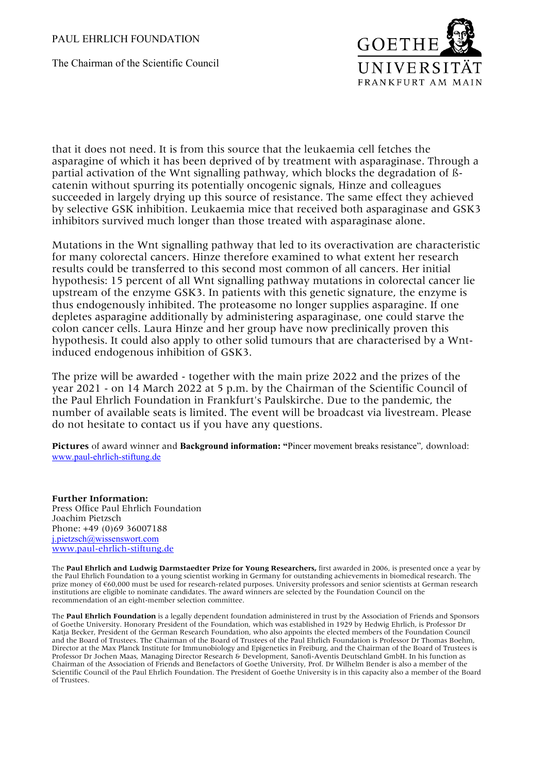## PAUL EHRLICH FOUNDATION

The Chairman of the Scientific Council



that it does not need. It is from this source that the leukaemia cell fetches the asparagine of which it has been deprived of by treatment with asparaginase. Through a partial activation of the Wnt signalling pathway, which blocks the degradation of ßcatenin without spurring its potentially oncogenic signals, Hinze and colleagues succeeded in largely drying up this source of resistance. The same effect they achieved by selective GSK inhibition. Leukaemia mice that received both asparaginase and GSK3 inhibitors survived much longer than those treated with asparaginase alone.

Mutations in the Wnt signalling pathway that led to its overactivation are characteristic for many colorectal cancers. Hinze therefore examined to what extent her research results could be transferred to this second most common of all cancers. Her initial hypothesis: 15 percent of all Wnt signalling pathway mutations in colorectal cancer lie upstream of the enzyme GSK3. In patients with this genetic signature, the enzyme is thus endogenously inhibited. The proteasome no longer supplies asparagine. If one depletes asparagine additionally by administering asparaginase, one could starve the colon cancer cells. Laura Hinze and her group have now preclinically proven this hypothesis. It could also apply to other solid tumours that are characterised by a Wntinduced endogenous inhibition of GSK3.

The prize will be awarded - together with the main prize 2022 and the prizes of the year 2021 - on 14 March 2022 at 5 p.m. by the Chairman of the Scientific Council of the Paul Ehrlich Foundation in Frankfurt's Paulskirche. Due to the pandemic, the number of available seats is limited. The event will be broadcast via livestream. Please do not hesitate to contact us if you have any questions.

**Pictures** of award winner and **Background information: "**Pincer movement breaks resistance", download: [www.paul-ehrlich-stiftung.de](http://www.paul-ehrlich-stiftung.de/)

**Further Information:** Press Office Paul Ehrlich Foundation Joachim Pietzsch Phone: +49 (0)69 36007188 [j.pietzsch@wissenswort.com](mailto:j.pietzsch@wissenswort.com) [www.paul-ehrlich-stiftung.de](http://www.paul-ehrlich-stiftung.de/)

The **Paul Ehrlich and Ludwig Darmstaedter Prize for Young Researchers,** first awarded in 2006, is presented once a year by the Paul Ehrlich Foundation to a young scientist working in Germany for outstanding achievements in biomedical research. The prize money of €60,000 must be used for research-related purposes. University professors and senior scientists at German research institutions are eligible to nominate candidates. The award winners are selected by the Foundation Council on the recommendation of an eight-member selection committee.

The **Paul Ehrlich Foundation** is a legally dependent foundation administered in trust by the Association of Friends and Sponsors of Goethe University. Honorary President of the Foundation, which was established in 1929 by Hedwig Ehrlich, is Professor Dr Katja Becker, President of the German Research Foundation, who also appoints the elected members of the Foundation Council and the Board of Trustees. The Chairman of the Board of Trustees of the Paul Ehrlich Foundation is Professor Dr Thomas Boehm, Director at the Max Planck Institute for Immunobiology and Epigenetics in Freiburg, and the Chairman of the Board of Trustees is Professor Dr Jochen Maas, Managing Director Research & Development, Sanofi-Aventis Deutschland GmbH. In his function as Chairman of the Association of Friends and Benefactors of Goethe University, Prof. Dr Wilhelm Bender is also a member of the Scientific Council of the Paul Ehrlich Foundation. The President of Goethe University is in this capacity also a member of the Board of Trustees.